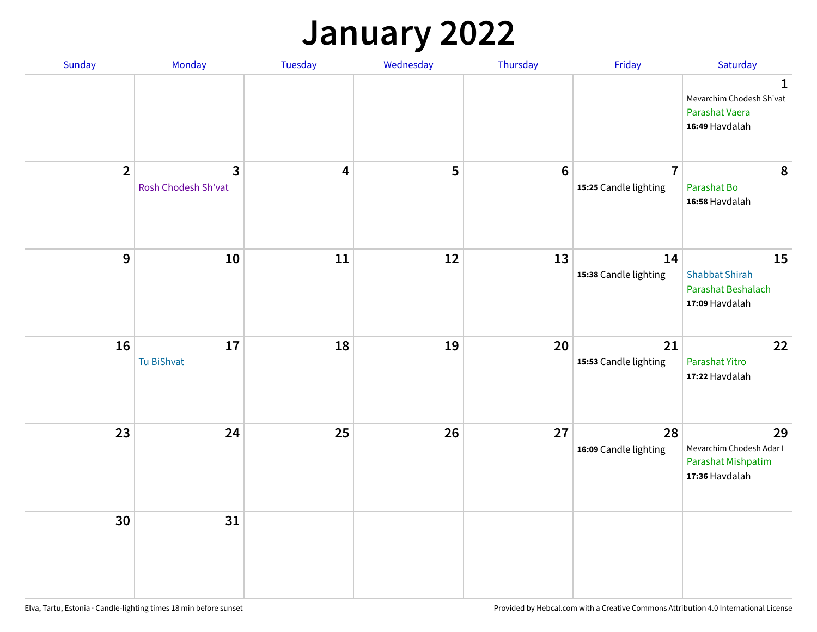#### **January 2022**

| Sunday         | Monday                              | Tuesday                 | Wednesday | Thursday         | Friday                                  | Saturday                                                                     |
|----------------|-------------------------------------|-------------------------|-----------|------------------|-----------------------------------------|------------------------------------------------------------------------------|
|                |                                     |                         |           |                  |                                         | $\mathbf{1}$<br>Mevarchim Chodesh Sh'vat<br>Parashat Vaera<br>16:49 Havdalah |
| $\overline{2}$ | $\mathbf{3}$<br>Rosh Chodesh Sh'vat | $\overline{\mathbf{4}}$ | 5         | $\boldsymbol{6}$ | $\overline{7}$<br>15:25 Candle lighting | 8<br>Parashat Bo<br>16:58 Havdalah                                           |
| $\mathbf{9}$   | 10                                  | 11                      | 12        | 13               | 14<br>15:38 Candle lighting             | 15<br><b>Shabbat Shirah</b><br>Parashat Beshalach<br>17:09 Havdalah          |
| 16             | 17<br>Tu BiShvat                    | 18                      | 19        | 20               | 21<br>15:53 Candle lighting             | 22<br>Parashat Yitro<br>17:22 Havdalah                                       |
| 23             | 24                                  | 25                      | 26        | 27               | 28<br>16:09 Candle lighting             | 29<br>Mevarchim Chodesh Adar I<br>Parashat Mishpatim<br>17:36 Havdalah       |
| 30             | 31                                  |                         |           |                  |                                         |                                                                              |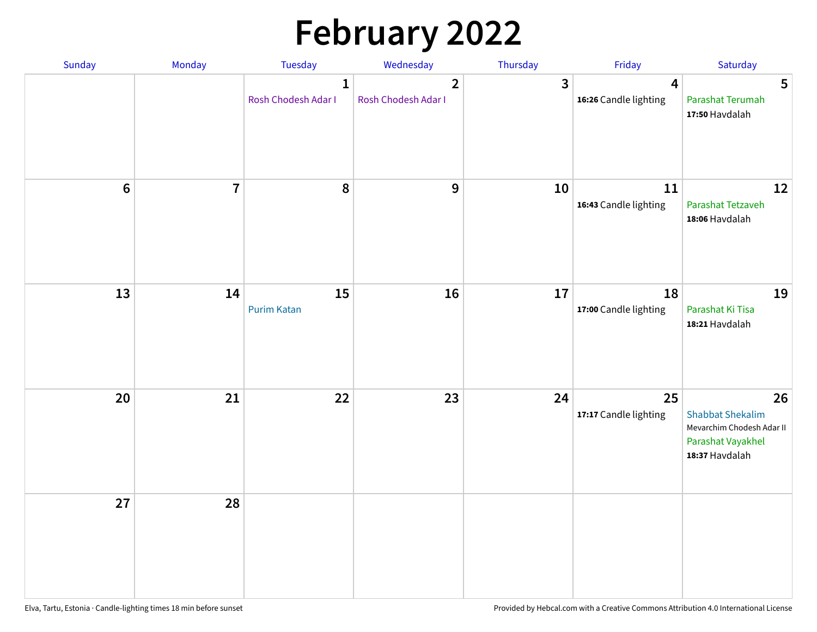# **February 2022**

| Sunday | <b>Monday</b>  | <b>Tuesday</b>                      | Wednesday                             | Thursday       | Friday                                           | Saturday                                                                                          |
|--------|----------------|-------------------------------------|---------------------------------------|----------------|--------------------------------------------------|---------------------------------------------------------------------------------------------------|
|        |                | $\mathbf{1}$<br>Rosh Chodesh Adar I | $\overline{2}$<br>Rosh Chodesh Adar I | $\overline{3}$ | $\overline{\mathbf{4}}$<br>16:26 Candle lighting | 5<br>Parashat Terumah<br>17:50 Havdalah                                                           |
| $6\,$  | $\overline{7}$ | 8                                   | 9                                     | 10             | 11<br>16:43 Candle lighting                      | 12<br>Parashat Tetzaveh<br>18:06 Havdalah                                                         |
| 13     | 14             | 15<br><b>Purim Katan</b>            | 16                                    | 17             | 18<br>17:00 Candle lighting                      | 19<br>Parashat Ki Tisa<br>18:21 Havdalah                                                          |
| 20     | 21             | 22                                  | 23                                    | 24             | 25<br>17:17 Candle lighting                      | 26<br><b>Shabbat Shekalim</b><br>Mevarchim Chodesh Adar II<br>Parashat Vayakhel<br>18:37 Havdalah |
| 27     | 28             |                                     |                                       |                |                                                  |                                                                                                   |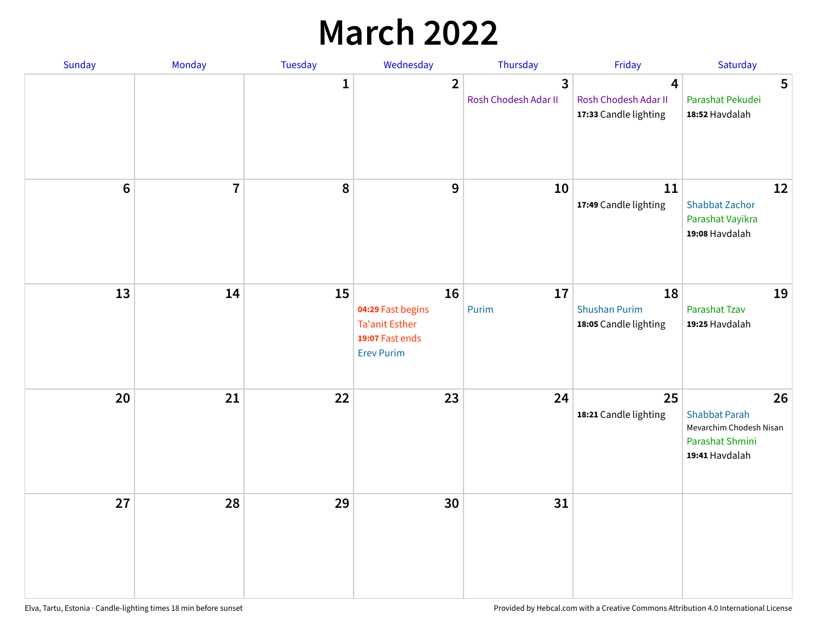## **March 2022**

| Sunday | Monday         | <b>Tuesday</b> | Wednesday                                                                                | Thursday                  | Friday                                                                   | Saturday                                                                                   |
|--------|----------------|----------------|------------------------------------------------------------------------------------------|---------------------------|--------------------------------------------------------------------------|--------------------------------------------------------------------------------------------|
|        |                | $\mathbf{1}$   | $\overline{\mathbf{2}}$                                                                  | 3<br>Rosh Chodesh Adar II | $\overline{\mathbf{4}}$<br>Rosh Chodesh Adar II<br>17:33 Candle lighting | 5<br>Parashat Pekudei<br>18:52 Havdalah                                                    |
| $6\,$  | $\overline{7}$ | 8              | 9                                                                                        | 10                        | 11<br>17:49 Candle lighting                                              | 12<br><b>Shabbat Zachor</b><br>Parashat Vayikra<br>19:08 Havdalah                          |
| 13     | 14             | 15             | 16<br>04:29 Fast begins<br><b>Ta'anit Esther</b><br>19:07 Fast ends<br><b>Erev Purim</b> | 17<br>Purim               | 18<br><b>Shushan Purim</b><br>18:05 Candle lighting                      | 19<br>Parashat Tzav<br>19:25 Havdalah                                                      |
| 20     | 21             | 22             | 23                                                                                       | 24                        | 25<br>18:21 Candle lighting                                              | 26<br><b>Shabbat Parah</b><br>Mevarchim Chodesh Nisan<br>Parashat Shmini<br>19:41 Havdalah |
| 27     | 28             | 29             | 30                                                                                       | 31                        |                                                                          |                                                                                            |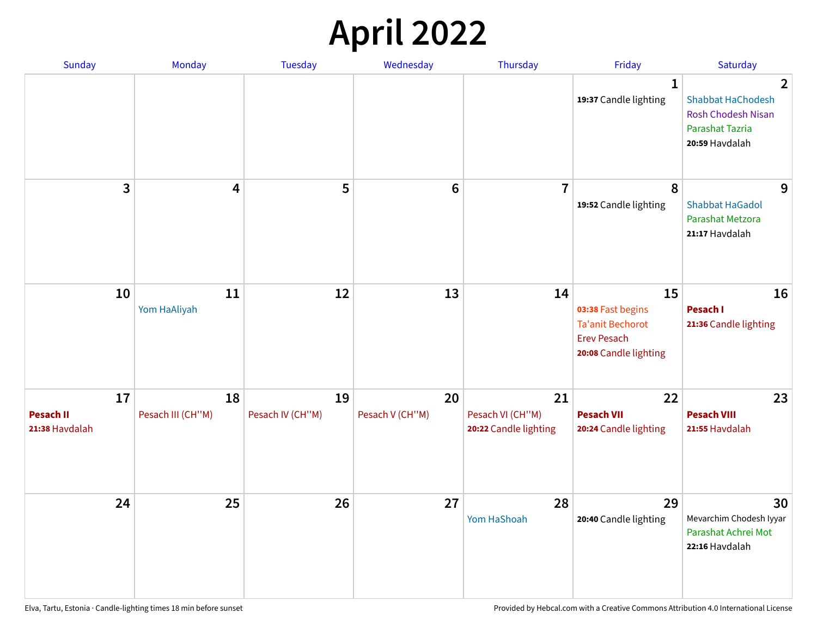## **April 2022**

| Sunday                                   | Monday                  | <b>Tuesday</b>         | Wednesday             | Thursday                                        | Friday                                                                                            | Saturday                                                                                                            |
|------------------------------------------|-------------------------|------------------------|-----------------------|-------------------------------------------------|---------------------------------------------------------------------------------------------------|---------------------------------------------------------------------------------------------------------------------|
|                                          |                         |                        |                       |                                                 | 1<br>19:37 Candle lighting                                                                        | $\overline{2}$<br><b>Shabbat HaChodesh</b><br><b>Rosh Chodesh Nisan</b><br><b>Parashat Tazria</b><br>20:59 Havdalah |
| 3                                        | $\overline{\mathbf{4}}$ | 5                      | $6\phantom{1}6$       | $\overline{7}$                                  | 8<br>19:52 Candle lighting                                                                        | 9<br><b>Shabbat HaGadol</b><br>Parashat Metzora<br>21:17 Havdalah                                                   |
| 10                                       | 11<br>Yom HaAliyah      | 12                     | 13                    | 14                                              | 15<br>03:38 Fast begins<br><b>Ta'anit Bechorot</b><br><b>Erev Pesach</b><br>20:08 Candle lighting | 16<br>Pesach I<br>21:36 Candle lighting                                                                             |
| 17<br><b>Pesach II</b><br>21:38 Havdalah | 18<br>Pesach III (CH"M) | 19<br>Pesach IV (CH"M) | 20<br>Pesach V (CH"M) | 21<br>Pesach VI (CH"M)<br>20:22 Candle lighting | 22<br><b>Pesach VII</b><br>20:24 Candle lighting                                                  | 23<br><b>Pesach VIII</b><br>21:55 Havdalah                                                                          |
| 24                                       | 25                      | 26                     | 27                    | 28<br>Yom HaShoah                               | 29<br>20:40 Candle lighting                                                                       | 30<br>Mevarchim Chodesh Iyyar<br>Parashat Achrei Mot<br>22:16 Havdalah                                              |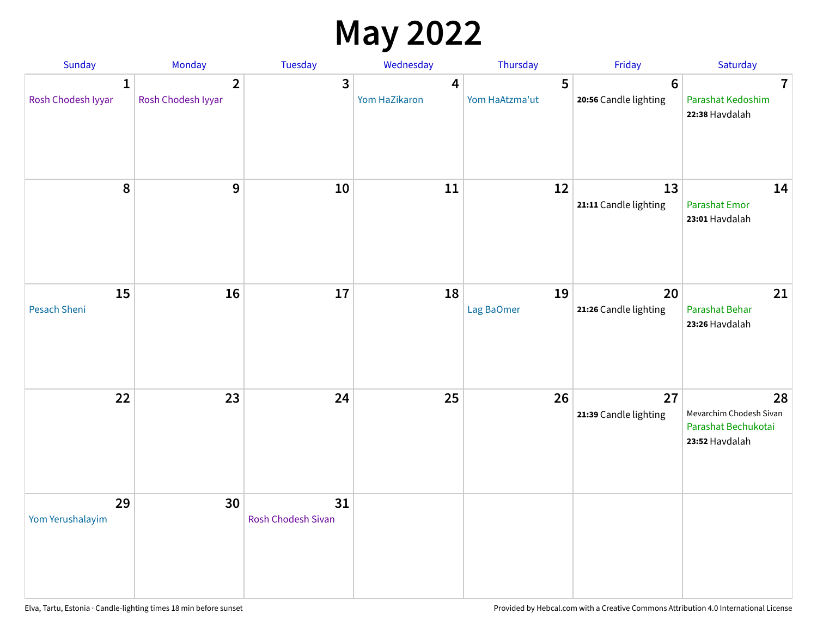## **May 2022**

| Sunday                             | Monday                               | Tuesday                         | Wednesday          | Thursday            | Friday                                   | Saturday                                                               |
|------------------------------------|--------------------------------------|---------------------------------|--------------------|---------------------|------------------------------------------|------------------------------------------------------------------------|
| $\mathbf{1}$<br>Rosh Chodesh Iyyar | $\overline{2}$<br>Rosh Chodesh Iyyar | 3                               | 4<br>Yom HaZikaron | 5<br>Yom HaAtzma'ut | $6\phantom{1}6$<br>20:56 Candle lighting | $\overline{7}$<br>Parashat Kedoshim<br>22:38 Havdalah                  |
| $\pmb{8}$                          | $\mathbf{9}$                         | 10                              | 11                 | 12                  | 13<br>21:11 Candle lighting              | 14<br><b>Parashat Emor</b><br>23:01 Havdalah                           |
| 15<br>Pesach Sheni                 | 16                                   | 17                              | 18                 | 19<br>Lag BaOmer    | 20<br>21:26 Candle lighting              | 21<br>Parashat Behar<br>23:26 Havdalah                                 |
| 22                                 | 23                                   | 24                              | 25                 | 26                  | 27<br>21:39 Candle lighting              | 28<br>Mevarchim Chodesh Sivan<br>Parashat Bechukotai<br>23:52 Havdalah |
| 29<br>Yom Yerushalayim             | 30                                   | 31<br><b>Rosh Chodesh Sivan</b> |                    |                     |                                          |                                                                        |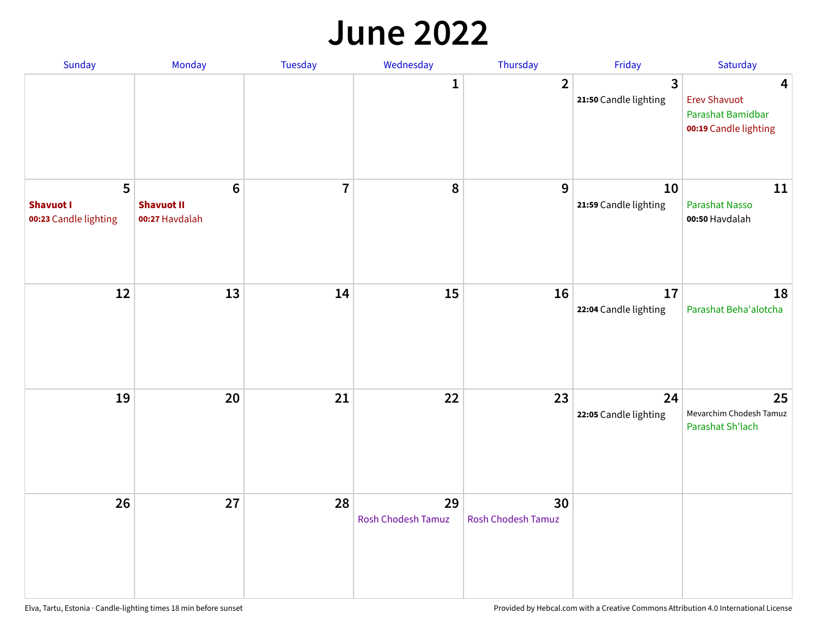#### **June 2022**

| Sunday                                         | Monday                                         | Tuesday        | Wednesday                | Thursday                        | Friday                      | Saturday                                                               |
|------------------------------------------------|------------------------------------------------|----------------|--------------------------|---------------------------------|-----------------------------|------------------------------------------------------------------------|
|                                                |                                                |                | 1                        | $\overline{2}$                  | 3<br>21:50 Candle lighting  | 4<br><b>Erev Shavuot</b><br>Parashat Bamidbar<br>00:19 Candle lighting |
| 5<br><b>Shavuot I</b><br>00:23 Candle lighting | $\bf 6$<br><b>Shavuot II</b><br>00:27 Havdalah | $\overline{7}$ | 8                        | 9                               | 10<br>21:59 Candle lighting | 11<br>Parashat Nasso<br>00:50 Havdalah                                 |
| 12                                             | 13                                             | 14             | 15                       | 16                              | 17<br>22:04 Candle lighting | 18<br>Parashat Beha'alotcha                                            |
| 19                                             | 20                                             | 21             | 22                       | 23                              | 24<br>22:05 Candle lighting | 25<br>Mevarchim Chodesh Tamuz<br>Parashat Sh'lach                      |
| 26                                             | 27                                             | 28             | 29<br>Rosh Chodesh Tamuz | 30<br><b>Rosh Chodesh Tamuz</b> |                             |                                                                        |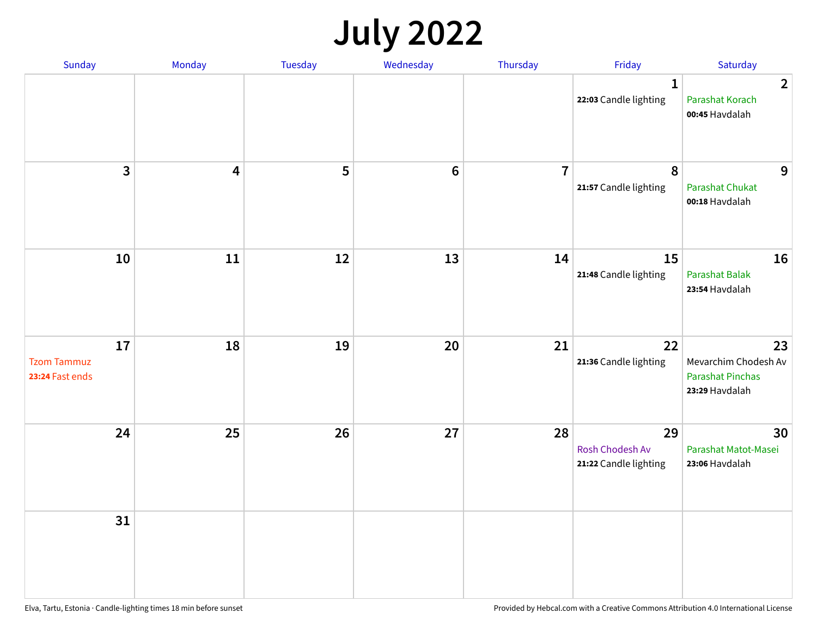## **July 2022**

| Sunday                                      | Monday     | Tuesday | Wednesday      | Thursday       | Friday                                         | Saturday                                                                |
|---------------------------------------------|------------|---------|----------------|----------------|------------------------------------------------|-------------------------------------------------------------------------|
|                                             |            |         |                |                | $\mathbf{1}$<br>22:03 Candle lighting          | $\overline{2}$<br>Parashat Korach<br>00:45 Havdalah                     |
| $\overline{\mathbf{3}}$                     | 4          | 5       | $6\phantom{1}$ | $\overline{7}$ | 8<br>21:57 Candle lighting                     | 9<br><b>Parashat Chukat</b><br>00:18 Havdalah                           |
| 10                                          | ${\bf 11}$ | 12      | 13             | 14             | 15<br>21:48 Candle lighting                    | 16<br><b>Parashat Balak</b><br>23:54 Havdalah                           |
| 17<br><b>Tzom Tammuz</b><br>23:24 Fast ends | 18         | 19      | 20             | 21             | 22<br>21:36 Candle lighting                    | 23<br>Mevarchim Chodesh Av<br><b>Parashat Pinchas</b><br>23:29 Havdalah |
| 24                                          | 25         | 26      | 27             | 28             | 29<br>Rosh Chodesh Av<br>21:22 Candle lighting | 30<br>Parashat Matot-Masei<br>23:06 Havdalah                            |
| 31                                          |            |         |                |                |                                                |                                                                         |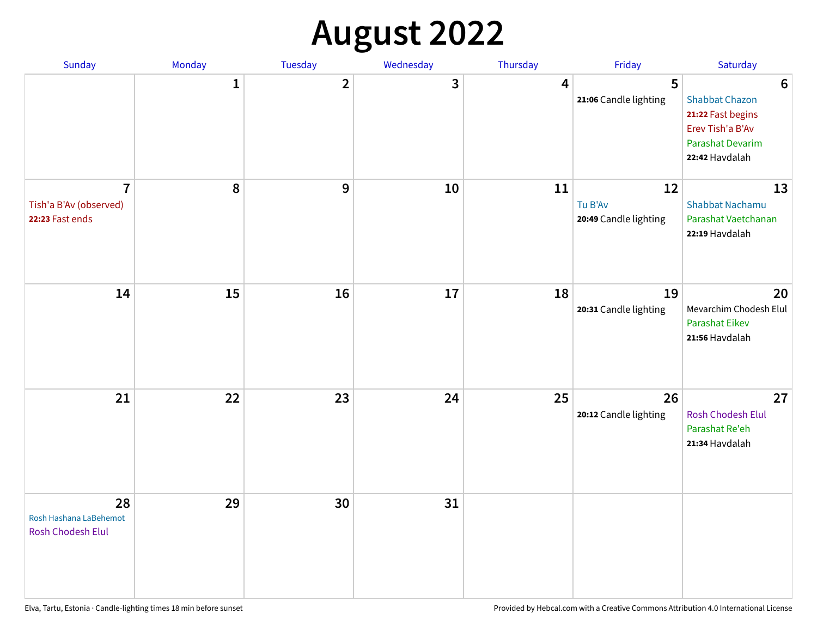## **August 2022**

| Sunday                                                      | Monday       | Tuesday                 | Wednesday | Thursday | Friday                                 | Saturday                                                                                                                       |
|-------------------------------------------------------------|--------------|-------------------------|-----------|----------|----------------------------------------|--------------------------------------------------------------------------------------------------------------------------------|
|                                                             | $\mathbf{1}$ | $\overline{\mathbf{2}}$ | 3         | 4        | 5<br>21:06 Candle lighting             | $6\phantom{1}6$<br><b>Shabbat Chazon</b><br>21:22 Fast begins<br>Erev Tish'a B'Av<br><b>Parashat Devarim</b><br>22:42 Havdalah |
| $\overline{7}$<br>Tish'a B'Av (observed)<br>22:23 Fast ends | 8            | 9                       | 10        | 11       | 12<br>Tu B'Av<br>20:49 Candle lighting | 13<br><b>Shabbat Nachamu</b><br>Parashat Vaetchanan<br>22:19 Havdalah                                                          |
| 14                                                          | 15           | 16                      | 17        | 18       | 19<br>20:31 Candle lighting            | 20<br>Mevarchim Chodesh Elul<br><b>Parashat Eikev</b><br>21:56 Havdalah                                                        |
| 21                                                          | 22           | 23                      | 24        | 25       | 26<br>20:12 Candle lighting            | 27<br><b>Rosh Chodesh Elul</b><br>Parashat Re'eh<br>21:34 Havdalah                                                             |
| 28<br>Rosh Hashana LaBehemot<br>Rosh Chodesh Elul           | 29           | 30                      | 31        |          |                                        |                                                                                                                                |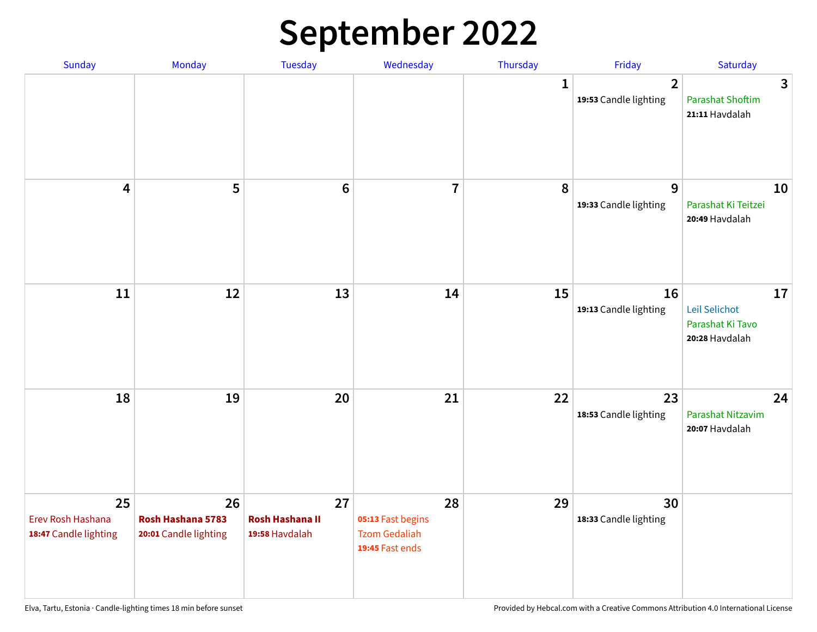## **September 2022**

| Sunday                                           | Monday                                           | <b>Tuesday</b>                                 | Wednesday                                                          | Thursday    | Friday                                  | Saturday                                                  |
|--------------------------------------------------|--------------------------------------------------|------------------------------------------------|--------------------------------------------------------------------|-------------|-----------------------------------------|-----------------------------------------------------------|
|                                                  |                                                  |                                                |                                                                    | $\mathbf 1$ | $\overline{2}$<br>19:53 Candle lighting | 3<br><b>Parashat Shoftim</b><br>21:11 Havdalah            |
| 4                                                | 5                                                | $6\phantom{1}6$                                | $\overline{7}$                                                     | 8           | 9<br>19:33 Candle lighting              | 10<br>Parashat Ki Teitzei<br>20:49 Havdalah               |
| 11                                               | 12                                               | 13                                             | 14                                                                 | 15          | 16<br>19:13 Candle lighting             | 17<br>Leil Selichot<br>Parashat Ki Tavo<br>20:28 Havdalah |
| 18                                               | 19                                               | 20                                             | 21                                                                 | 22          | 23<br>18:53 Candle lighting             | 24<br>Parashat Nitzavim<br>20:07 Havdalah                 |
| 25<br>Erev Rosh Hashana<br>18:47 Candle lighting | 26<br>Rosh Hashana 5783<br>20:01 Candle lighting | 27<br><b>Rosh Hashana II</b><br>19:58 Havdalah | 28<br>05:13 Fast begins<br><b>Tzom Gedaliah</b><br>19:45 Fast ends | 29          | 30<br>18:33 Candle lighting             |                                                           |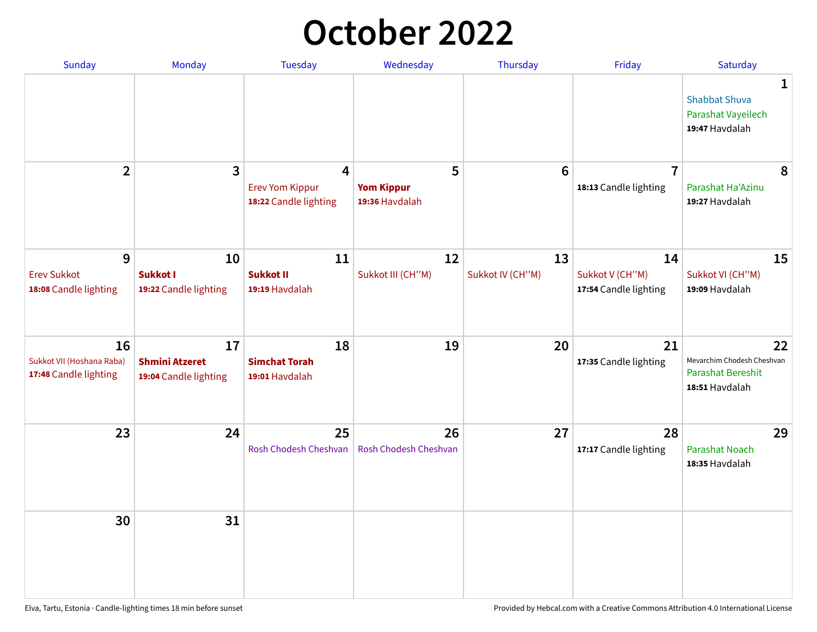## **October 2022**

| Sunday                                                   | Monday                                               | <b>Tuesday</b>                                                    | Wednesday                                | Thursday               | Friday                                         | Saturday                                                                |
|----------------------------------------------------------|------------------------------------------------------|-------------------------------------------------------------------|------------------------------------------|------------------------|------------------------------------------------|-------------------------------------------------------------------------|
|                                                          |                                                      |                                                                   |                                          |                        |                                                | 1<br><b>Shabbat Shuva</b><br>Parashat Vayeilech<br>19:47 Havdalah       |
| $\overline{2}$                                           | 3                                                    | $\overline{4}$<br><b>Erev Yom Kippur</b><br>18:22 Candle lighting | 5<br><b>Yom Kippur</b><br>19:36 Havdalah | 6                      | $\overline{7}$<br>18:13 Candle lighting        | 8<br>Parashat Ha'Azinu<br>19:27 Havdalah                                |
| 9<br><b>Erev Sukkot</b><br>18:08 Candle lighting         | 10<br><b>Sukkot I</b><br>19:22 Candle lighting       | 11<br><b>Sukkot II</b><br>19:19 Havdalah                          | 12<br>Sukkot III (CH"M)                  | 13<br>Sukkot IV (CH"M) | 14<br>Sukkot V (CH"M)<br>17:54 Candle lighting | 15<br>Sukkot VI (CH"M)<br>19:09 Havdalah                                |
| 16<br>Sukkot VII (Hoshana Raba)<br>17:48 Candle lighting | 17<br><b>Shmini Atzeret</b><br>19:04 Candle lighting | 18<br><b>Simchat Torah</b><br>19:01 Havdalah                      | 19                                       | 20                     | 21<br>17:35 Candle lighting                    | 22<br>Mevarchim Chodesh Cheshvan<br>Parashat Bereshit<br>18:51 Havdalah |
| 23                                                       | 24                                                   | 25<br>Rosh Chodesh Cheshvan                                       | 26<br>Rosh Chodesh Cheshvan              | 27                     | 28<br>17:17 Candle lighting                    | 29<br><b>Parashat Noach</b><br>18:35 Havdalah                           |
| 30                                                       | 31                                                   |                                                                   |                                          |                        |                                                |                                                                         |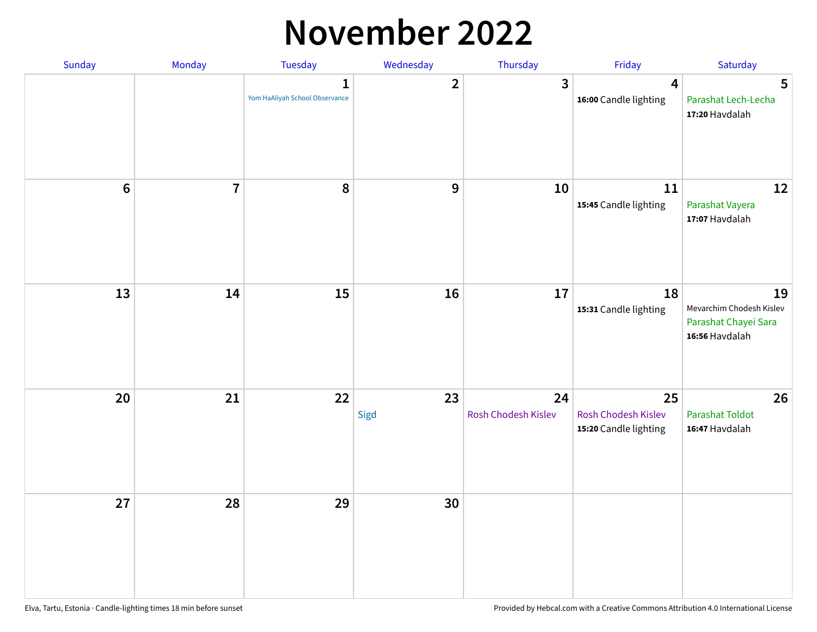#### **November 2022**

| Sunday | Monday                  | Tuesday                             | Wednesday      | Thursday                  | Friday                                                    | Saturday                                                                 |
|--------|-------------------------|-------------------------------------|----------------|---------------------------|-----------------------------------------------------------|--------------------------------------------------------------------------|
|        |                         | 1<br>Yom HaAliyah School Observance | $\overline{2}$ | $\overline{\mathbf{3}}$   | $\overline{\mathbf{4}}$<br>16:00 Candle lighting          | 5<br>Parashat Lech-Lecha<br>17:20 Havdalah                               |
| $6\,$  | $\overline{\mathbf{I}}$ | 8                                   | 9              | 10                        | 11<br>15:45 Candle lighting                               | 12<br>Parashat Vayera<br>17:07 Havdalah                                  |
| 13     | 14                      | 15                                  | 16             | 17                        | 18<br>15:31 Candle lighting                               | 19<br>Mevarchim Chodesh Kislev<br>Parashat Chayei Sara<br>16:56 Havdalah |
| 20     | 21                      | 22                                  | 23<br>Sigd     | 24<br>Rosh Chodesh Kislev | 25<br><b>Rosh Chodesh Kislev</b><br>15:20 Candle lighting | 26<br><b>Parashat Toldot</b><br>16:47 Havdalah                           |
| 27     | 28                      | 29                                  | 30             |                           |                                                           |                                                                          |